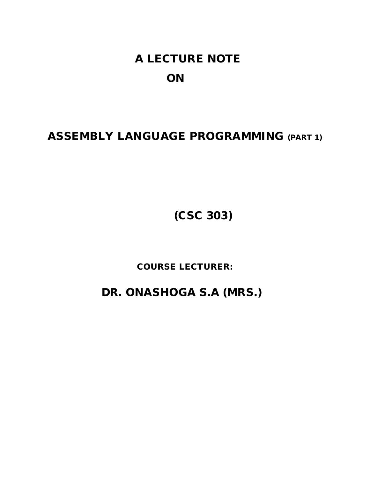# **A LECTURE NOTE ON**

## **ASSEMBLY LANGUAGE PROGRAMMING (PART 1)**

**(CSC 303)**

**COURSE LECTURER:**

 **DR. ONASHOGA S.A (MRS.)**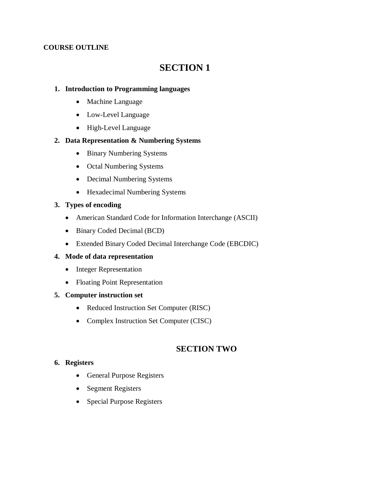## **COURSE OUTLINE**

## **SECTION 1**

## **1. Introduction to Programming languages**

- Machine Language
- Low-Level Language
- High-Level Language

## **2. Data Representation & Numbering Systems**

- Binary Numbering Systems
- Octal Numbering Systems
- Decimal Numbering Systems
- Hexadecimal Numbering Systems

## **3. Types of encoding**

- American Standard Code for Information Interchange (ASCII)
- Binary Coded Decimal (BCD)
- Extended Binary Coded Decimal Interchange Code (EBCDIC)

## **4. Mode of data representation**

- Integer Representation
- Floating Point Representation

## **5. Computer instruction set**

- Reduced Instruction Set Computer (RISC)
- Complex Instruction Set Computer (CISC)

## **SECTION TWO**

## **6. Registers**

- General Purpose Registers
- Segment Registers
- Special Purpose Registers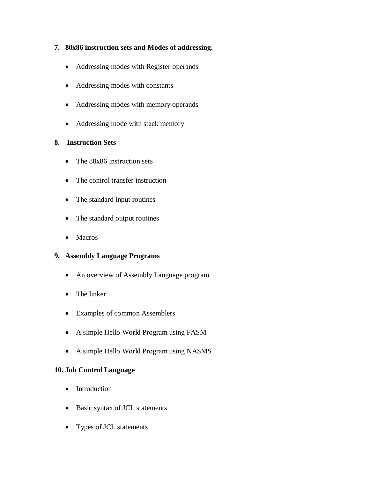- **7. 80x86 instruction sets and Modes of addressing.**
	- Addressing modes with Register operands
	- Addressing modes with constants
	- Addressing modes with memory operands
	- Addressing mode with stack memory

## **8. Instruction Sets**

- The 80x86 instruction sets
- The control transfer instruction
- The standard input routines
- The standard output routines
- Macros

## **9. Assembly Language Programs**

- An overview of Assembly Language program
- The linker
- Examples of common Assemblers
- A simple Hello World Program using FASM
- A simple Hello World Program using NASMS

## **10. Job Control Language**

- Introduction
- Basic syntax of JCL statements
- Types of JCL statements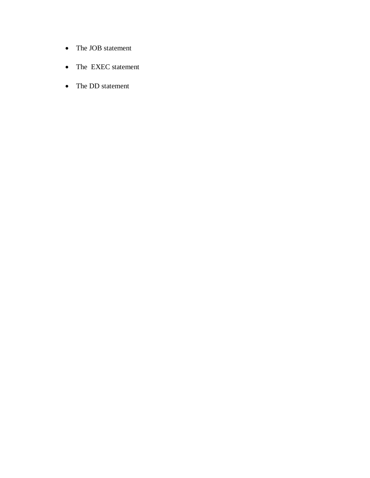- The JOB statement
- The EXEC statement
- The DD statement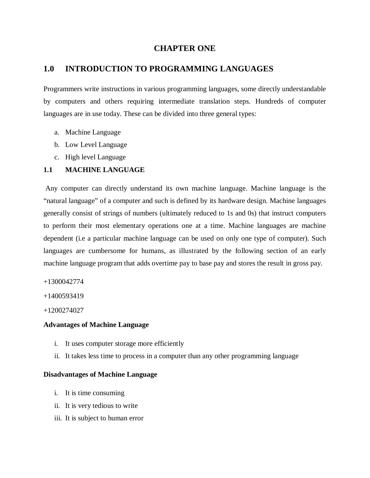## **CHAPTER ONE**

## **1.0 INTRODUCTION TO PROGRAMMING LANGUAGES**

Programmers write instructions in various programming languages, some directly understandable by computers and others requiring intermediate translation steps. Hundreds of computer languages are in use today. These can be divided into three general types:

- a. Machine Language
- b. Low Level Language
- c. High level Language

## **1.1 MACHINE LANGUAGE**

Any computer can directly understand its own machine language. Machine language is the "natural language" of a computer and such is defined by its hardware design. Machine languages generally consist of strings of numbers (ultimately reduced to 1s and 0s) that instruct computers to perform their most elementary operations one at a time. Machine languages are machine dependent (i.e a particular machine language can be used on only one type of computer). Such languages are cumbersome for humans, as illustrated by the following section of an early machine language program that adds overtime pay to base pay and stores the result in gross pay.

+1300042774

+1400593419

+1200274027

#### **Advantages of Machine Language**

- i. It uses computer storage more efficiently
- ii. It takes less time to process in a computer than any other programming language

#### **Disadvantages of Machine Language**

- i. It is time consuming
- ii. It is very tedious to write
- iii. It is subject to human error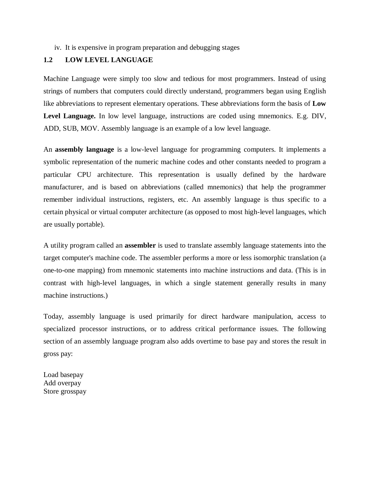#### iv. It is expensive in program preparation and debugging stages

## **1.2 LOW LEVEL LANGUAGE**

Machine Language were simply too slow and tedious for most programmers. Instead of using strings of numbers that computers could directly understand, programmers began using English like abbreviations to represent elementary operations. These abbreviations form the basis of **Low Level Language.** In low level language, instructions are coded using mnemonics. E.g. DIV, ADD, SUB, MOV. Assembly language is an example of a low level language.

An **assembly language** is a low-level language for programming computers. It implements a symbolic representation of the numeric machine codes and other constants needed to program a particular CPU architecture. This representation is usually defined by the hardware manufacturer, and is based on abbreviations (called mnemonics) that help the programmer remember individual instructions, registers, etc. An assembly language is thus specific to a certain physical or virtual computer architecture (as opposed to most high-level languages, which are usually portable).

A utility program called an **assembler** is used to translate assembly language statements into the target computer's machine code. The assembler performs a more or less isomorphic translation (a one-to-one mapping) from mnemonic statements into machine instructions and data. (This is in contrast with high-level languages, in which a single statement generally results in many machine instructions.)

Today, assembly language is used primarily for direct hardware manipulation, access to specialized processor instructions, or to address critical performance issues. The following section of an assembly language program also adds overtime to base pay and stores the result in gross pay:

Load basepay Add overpay Store grosspay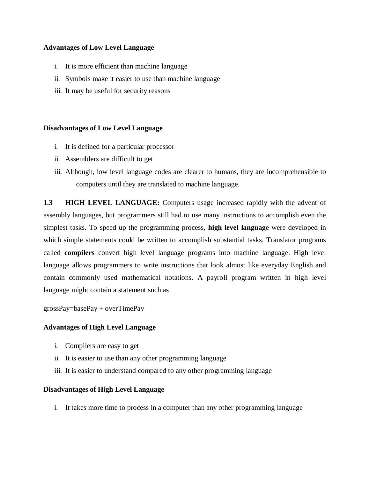## **Advantages of Low Level Language**

- i. It is more efficient than machine language
- ii. Symbols make it easier to use than machine language
- iii. It may be useful for security reasons

#### **Disadvantages of Low Level Language**

- i. It is defined for a particular processor
- ii. Assemblers are difficult to get
- iii. Although, low level language codes are clearer to humans, they are incomprehensible to computers until they are translated to machine language.

**1.3 HIGH LEVEL LANGUAGE:** Computers usage increased rapidly with the advent of assembly languages, but programmers still had to use many instructions to accomplish even the simplest tasks. To speed up the programming process, **high level language** were developed in which simple statements could be written to accomplish substantial tasks. Translator programs called **compilers** convert high level language programs into machine language. High level language allows programmers to write instructions that look almost like everyday English and contain commonly used mathematical notations. A payroll program written in high level language might contain a statement such as

grossPay=basePay + overTimePay

#### **Advantages of High Level Language**

- i. Compilers are easy to get
- ii. It is easier to use than any other programming language
- iii. It is easier to understand compared to any other programming language

#### **Disadvantages of High Level Language**

i. It takes more time to process in a computer than any other programming language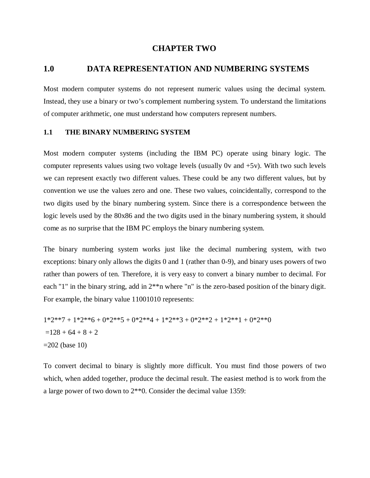## **CHAPTER TWO**

## **1.0 DATA REPRESENTATION AND NUMBERING SYSTEMS**

Most modern computer systems do not represent numeric values using the decimal system. Instead, they use a binary or two's complement numbering system. To understand the limitations of computer arithmetic, one must understand how computers represent numbers.

#### **1.1 THE BINARY NUMBERING SYSTEM**

Most modern computer systems (including the IBM PC) operate using binary logic. The computer represents values using two voltage levels (usually 0v and  $+5v$ ). With two such levels we can represent exactly two different values. These could be any two different values, but by convention we use the values zero and one. These two values, coincidentally, correspond to the two digits used by the binary numbering system. Since there is a correspondence between the logic levels used by the 80x86 and the two digits used in the binary numbering system, it should come as no surprise that the IBM PC employs the binary numbering system.

The binary numbering system works just like the decimal numbering system, with two exceptions: binary only allows the digits 0 and 1 (rather than 0-9), and binary uses powers of two rather than powers of ten. Therefore, it is very easy to convert a binary number to decimal. For each "1" in the binary string, add in  $2^{**}$ n where "n" is the zero-based position of the binary digit. For example, the binary value 11001010 represents:

$$
1*2**7 + 1*2**6 + 0*2**5 + 0*2**4 + 1*2**3 + 0*2**2 + 1*2**1 + 0*2**0
$$
  
=128 + 64 + 8 + 2  
=202 (base 10)

To convert decimal to binary is slightly more difficult. You must find those powers of two which, when added together, produce the decimal result. The easiest method is to work from the a large power of two down to 2\*\*0. Consider the decimal value 1359: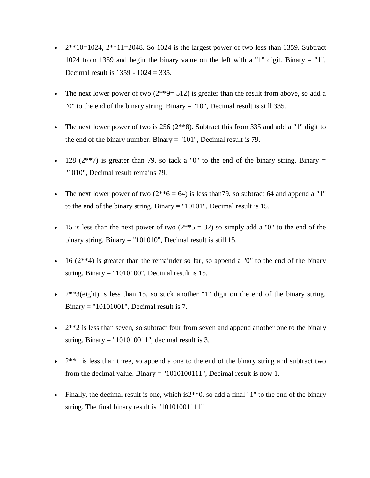- $2^{**}10=1024$ ,  $2^{**}11=2048$ . So 1024 is the largest power of two less than 1359. Subtract 1024 from 1359 and begin the binary value on the left with a "1" digit. Binary = "1", Decimal result is 1359 - 1024 = 335.
- The next lower power of two  $(2^{**}9 = 512)$  is greater than the result from above, so add a "0" to the end of the binary string. Binary = "10", Decimal result is still 335.
- The next lower power of two is  $256 (2**8)$ . Subtract this from 335 and add a "1" digit to the end of the binary number. Binary = "101", Decimal result is 79.
- 128 ( $2^{**}$ 7) is greater than 79, so tack a "0" to the end of the binary string. Binary = "1010", Decimal result remains 79.
- The next lower power of two  $(2^{**}6 = 64)$  is less than 79, so subtract 64 and append a "1" to the end of the binary string. Binary = "10101", Decimal result is 15.
- 15 is less than the next power of two  $(2^{**}5 = 32)$  so simply add a "0" to the end of the binary string. Binary = "101010", Decimal result is still 15.
- $\bullet$  16 (2\*\*4) is greater than the remainder so far, so append a "0" to the end of the binary string. Binary  $=$  "1010100", Decimal result is 15.
- $\bullet$   $2^{**}3$ (eight) is less than 15, so stick another "1" digit on the end of the binary string. Binary = "10101001", Decimal result is 7.
- $\bullet$  2<sup>\*\*</sup>2 is less than seven, so subtract four from seven and append another one to the binary string. Binary  $=$  "101010011", decimal result is 3.
- $\bullet$  2<sup>\*\*</sup>1 is less than three, so append a one to the end of the binary string and subtract two from the decimal value. Binary = "1010100111", Decimal result is now 1.
- Finally, the decimal result is one, which is  $2**0$ , so add a final "1" to the end of the binary string. The final binary result is "10101001111"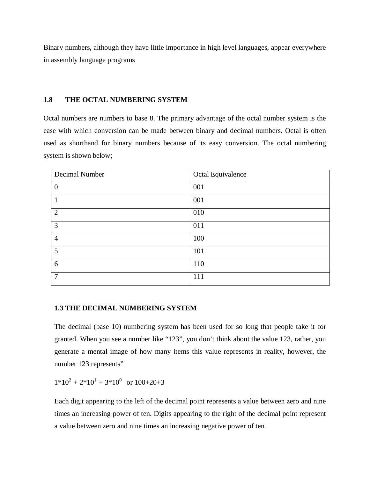Binary numbers, although they have little importance in high level languages, appear everywhere in assembly language programs

## **1.8 THE OCTAL NUMBERING SYSTEM**

Octal numbers are numbers to base 8. The primary advantage of the octal number system is the ease with which conversion can be made between binary and decimal numbers. Octal is often used as shorthand for binary numbers because of its easy conversion. The octal numbering system is shown below;

| Decimal Number | Octal Equivalence |
|----------------|-------------------|
| $\mathbf{0}$   | 001               |
| $\mathbf{1}$   | 001               |
| $\overline{2}$ | 010               |
| 3              | 011               |
| $\overline{4}$ | 100               |
| $\overline{5}$ | 101               |
| 6              | 110               |
| $\overline{7}$ | 111               |

## **1.3 THE DECIMAL NUMBERING SYSTEM**

The decimal (base 10) numbering system has been used for so long that people take it for granted. When you see a number like "123", you don't think about the value 123, rather, you generate a mental image of how many items this value represents in reality, however, the number 123 represents"

 $1*10^2 + 2*10^1 + 3*10^0$  or  $100+20+3$ 

Each digit appearing to the left of the decimal point represents a value between zero and nine times an increasing power of ten. Digits appearing to the right of the decimal point represent a value between zero and nine times an increasing negative power of ten.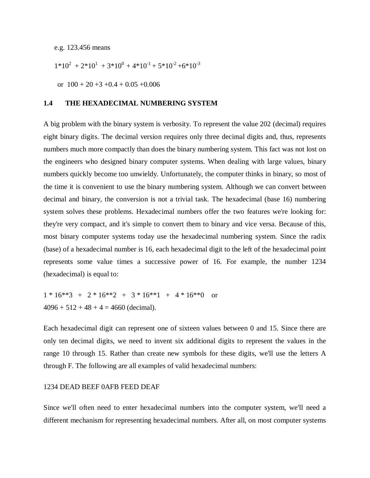e.g. 123.456 means

$$
1*10^2 + 2*10^1 + 3*10^0 + 4*10^{-1} + 5*10^{-2} + 6*10^{-3}
$$

or  $100 + 20 + 3 + 0.4 + 0.05 + 0.006$ 

#### **1.4 THE HEXADECIMAL NUMBERING SYSTEM**

A big problem with the binary system is verbosity. To represent the value 202 (decimal) requires eight binary digits. The decimal version requires only three decimal digits and, thus, represents numbers much more compactly than does the binary numbering system. This fact was not lost on the engineers who designed binary computer systems. When dealing with large values, binary numbers quickly become too unwieldy. Unfortunately, the computer thinks in binary, so most of the time it is convenient to use the binary numbering system. Although we can convert between decimal and binary, the conversion is not a trivial task. The hexadecimal (base 16) numbering system solves these problems. Hexadecimal numbers offer the two features we're looking for: they're very compact, and it's simple to convert them to binary and vice versa. Because of this, most binary computer systems today use the hexadecimal numbering system. Since the radix (base) of a hexadecimal number is 16, each hexadecimal digit to the left of the hexadecimal point represents some value times a successive power of 16. For example, the number 1234 (hexadecimal) is equal to:

 $1 * 16**3 + 2 * 16**2 + 3 * 16**1 + 4 * 16**0$  or  $4096 + 512 + 48 + 4 = 4660$  (decimal).

Each hexadecimal digit can represent one of sixteen values between 0 and 15. Since there are only ten decimal digits, we need to invent six additional digits to represent the values in the range 10 through 15. Rather than create new symbols for these digits, we'll use the letters A through F. The following are all examples of valid hexadecimal numbers:

#### 1234 DEAD BEEF 0AFB FEED DEAF

Since we'll often need to enter hexadecimal numbers into the computer system, we'll need a different mechanism for representing hexadecimal numbers. After all, on most computer systems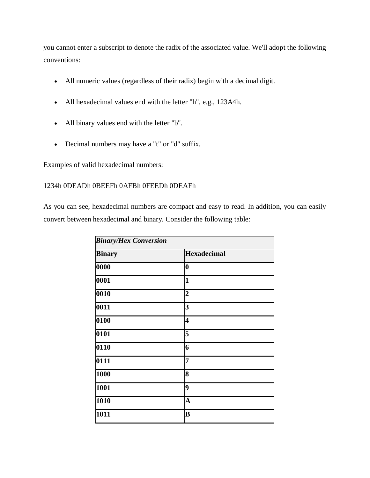you cannot enter a subscript to denote the radix of the associated value. We'll adopt the following conventions:

- All numeric values (regardless of their radix) begin with a decimal digit.
- All hexadecimal values end with the letter "h", e.g., 123A4h.
- All binary values end with the letter "b".
- Decimal numbers may have a "t" or "d" suffix.

Examples of valid hexadecimal numbers:

## 1234h 0DEADh 0BEEFh 0AFBh 0FEEDh 0DEAFh

As you can see, hexadecimal numbers are compact and easy to read. In addition, you can easily convert between hexadecimal and binary. Consider the following table:

| <b>Binary/Hex Conversion</b> |                         |  |  |  |
|------------------------------|-------------------------|--|--|--|
| <b>Binary</b>                | <b>Hexadecimal</b>      |  |  |  |
| 0000                         | 0                       |  |  |  |
| 0001                         | $\mathbf{1}$            |  |  |  |
| 0010                         | $\overline{2}$          |  |  |  |
| 0011                         | 3                       |  |  |  |
| 0100                         | 4                       |  |  |  |
| 0101                         | 5                       |  |  |  |
| 0110                         | 6                       |  |  |  |
| 0111                         | 7                       |  |  |  |
| 1000                         | 8                       |  |  |  |
| 1001                         | 9                       |  |  |  |
| 1010                         | $\overline{\mathbf{A}}$ |  |  |  |
| 1011                         | B                       |  |  |  |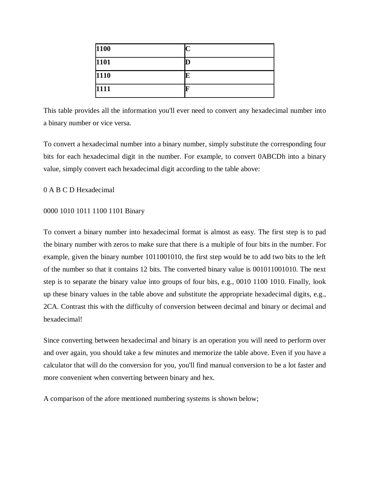| 1100 |  |
|------|--|
| 1101 |  |
| 1110 |  |
| 1111 |  |

This table provides all the information you'll ever need to convert any hexadecimal number into a binary number or vice versa.

To convert a hexadecimal number into a binary number, simply substitute the corresponding four bits for each hexadecimal digit in the number. For example, to convert 0ABCDh into a binary value, simply convert each hexadecimal digit according to the table above:

#### 0 A B C D Hexadecimal

#### 0000 1010 1011 1100 1101 Binary

To convert a binary number into hexadecimal format is almost as easy. The first step is to pad the binary number with zeros to make sure that there is a multiple of four bits in the number. For example, given the binary number 1011001010, the first step would be to add two bits to the left of the number so that it contains 12 bits. The converted binary value is 001011001010. The next step is to separate the binary value into groups of four bits, e.g., 0010 1100 1010. Finally, look up these binary values in the table above and substitute the appropriate hexadecimal digits, e.g., 2CA. Contrast this with the difficulty of conversion between decimal and binary or decimal and hexadecimal!

Since converting between hexadecimal and binary is an operation you will need to perform over and over again, you should take a few minutes and memorize the table above. Even if you have a calculator that will do the conversion for you, you'll find manual conversion to be a lot faster and more convenient when converting between binary and hex.

A comparison of the afore mentioned numbering systems is shown below;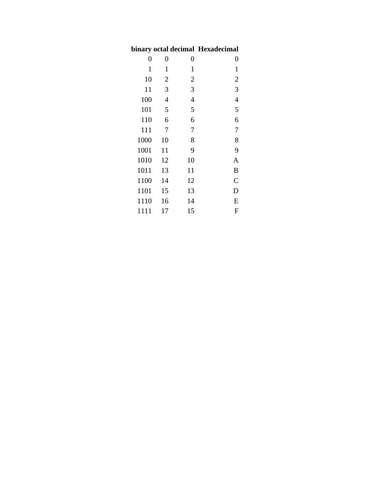## **binary octal decimal Hexadecimal**

| $\overline{0}$ | $\overline{0}$ | 0              | 0              |
|----------------|----------------|----------------|----------------|
| 1              | $\mathbf{1}$   | $\mathbf{1}$   | $\mathbf{1}$   |
| 10             | $\overline{2}$ | $\overline{2}$ | $\overline{c}$ |
| 11             | 3              | 3              | 3              |
| 100            | 4              | 4              | $\overline{4}$ |
| 101            | 5              | 5              | 5              |
| 110            | 6              | 6              | 6              |
| 111            | 7              | 7              | $\overline{7}$ |
| 1000           | 10             | 8              | 8              |
| 1001           | 11             | 9              | 9              |
| 1010           | 12             | 10             | A              |
| 1011           | 13             | 11             | $\bf{B}$       |
| 1100           | 14             | 12             | $\mathsf{C}$   |
| 1101           | 15             | 13             | D              |
| 1110           | 16             | 14             | E              |
| 1111           | 17             | 15             | $\mathbf F$    |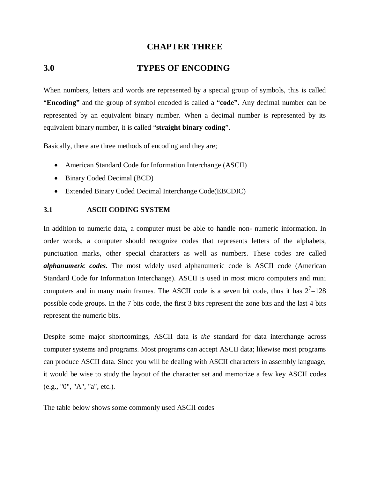## **CHAPTER THREE**

## **3.0 TYPES OF ENCODING**

When numbers, letters and words are represented by a special group of symbols, this is called "**Encoding"** and the group of symbol encoded is called a "**code".** Any decimal number can be represented by an equivalent binary number. When a decimal number is represented by its equivalent binary number, it is called "**straight binary coding**".

Basically, there are three methods of encoding and they are;

- American Standard Code for Information Interchange (ASCII)
- Binary Coded Decimal (BCD)
- Extended Binary Coded Decimal Interchange Code(EBCDIC)

#### **3.1 ASCII CODING SYSTEM**

In addition to numeric data, a computer must be able to handle non- numeric information. In order words, a computer should recognize codes that represents letters of the alphabets, punctuation marks, other special characters as well as numbers. These codes are called *alphanumeric codes.* The most widely used alphanumeric code is ASCII code (American Standard Code for Information Interchange). ASCII is used in most micro computers and mini computers and in many main frames. The ASCII code is a seven bit code, thus it has  $2<sup>7</sup>=128$ possible code groups. In the 7 bits code, the first 3 bits represent the zone bits and the last 4 bits represent the numeric bits.

Despite some major shortcomings, ASCII data is *the* standard for data interchange across computer systems and programs. Most programs can accept ASCII data; likewise most programs can produce ASCII data. Since you will be dealing with ASCII characters in assembly language, it would be wise to study the layout of the character set and memorize a few key ASCII codes (e.g., "0", "A", "a", etc.).

The table below shows some commonly used ASCII codes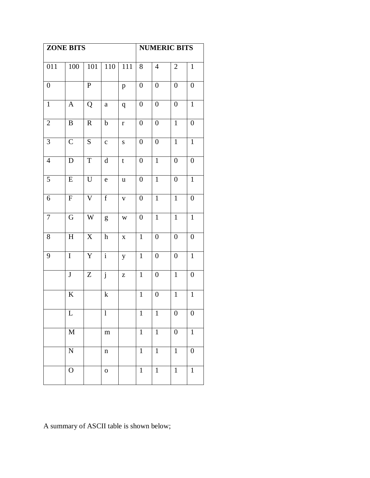| <b>ZONE BITS</b> |                           |                    | <b>NUMERIC BITS</b>       |              |                  |                  |                  |                  |
|------------------|---------------------------|--------------------|---------------------------|--------------|------------------|------------------|------------------|------------------|
| 011              | 100                       | 101                | 110                       | 111          | 8                | $\overline{4}$   | $\mathbf{2}$     | $\mathbf{1}$     |
| $\boldsymbol{0}$ |                           | $\overline{P}$     |                           | $\, {\bf p}$ | $\boldsymbol{0}$ | $\boldsymbol{0}$ | $\boldsymbol{0}$ | $\boldsymbol{0}$ |
| $\mathbf{1}$     | $\mathbf{A}$              | Q                  | $\rm{a}$                  | q            | $\boldsymbol{0}$ | $\boldsymbol{0}$ | $\boldsymbol{0}$ | $\mathbf{1}$     |
| $\mathbf{2}$     | B                         | $\mathbf R$        | $\bf b$                   | $\bf r$      | $\boldsymbol{0}$ | $\boldsymbol{0}$ | $\mathbf{1}$     | $\boldsymbol{0}$ |
| 3                | $\mathsf{C}$              | $\overline{S}$     | $\mathbf{C}$              | ${\bf S}$    | $\boldsymbol{0}$ | $\boldsymbol{0}$ | $\overline{1}$   | $\mathbf{1}$     |
| $\overline{4}$   | ${\bf D}$                 | $\mathbf T$        | $\rm d$                   | $\mathbf t$  | $\boldsymbol{0}$ | $\mathbf{1}$     | $\boldsymbol{0}$ | $\boldsymbol{0}$ |
| 5                | ${\bf E}$                 | $\mathbf U$        | $\mathbf e$               | $\mathbf u$  | $\boldsymbol{0}$ | $\mathbf{1}$     | $\boldsymbol{0}$ | $\mathbf{1}$     |
| 6                | ${\bf F}$                 | $\bar{\mathsf{V}}$ | $\mathbf f$               | $\mathbf V$  | $\boldsymbol{0}$ | $\mathbf{1}$     | $\mathbf{1}$     | $\boldsymbol{0}$ |
| $\tau$           | G                         | W                  | g                         | W            | $\boldsymbol{0}$ | $\mathbf{1}$     | $\mathbf{1}$     | $\mathbf{1}$     |
| 8                | $\boldsymbol{\mathrm{H}}$ | $\mathbf X$        | $\boldsymbol{\textbf{h}}$ | $\mathbf X$  | $\mathbf{1}$     | $\boldsymbol{0}$ | $\boldsymbol{0}$ | $\boldsymbol{0}$ |
| 9                | $\mathbf I$               | Y                  | $\overline{\mathbf{i}}$   | $\mathbf y$  | $\mathbf{1}$     | $\boldsymbol{0}$ | $\boldsymbol{0}$ | $\mathbf 1$      |
|                  | $\bf J$                   | Z                  | $\overline{\mathbf{j}}$   | $\mathbf Z$  | $\mathbf{1}$     | $\boldsymbol{0}$ | $\mathbf{1}$     | $\boldsymbol{0}$ |
|                  | $\overline{K}$            |                    | ${\bf k}$                 |              | $\overline{1}$   | $\boldsymbol{0}$ | $\overline{1}$   | $\overline{1}$   |
|                  | L                         |                    | $\bf{l}$                  |              | $\mathbf{1}$     | $\mathbf{1}$     | $\boldsymbol{0}$ | $\boldsymbol{0}$ |
|                  | $\mathbf M$               |                    | ${\bf m}$                 |              | $\mathbf{1}$     | $\mathbf{1}$     | $\boldsymbol{0}$ | $\mathbf 1$      |
|                  | $\mathbf N$               |                    | $\mathbf n$               |              | $\mathbf{1}$     | $\mathbf{1}$     | $\mathbf{1}$     | $\boldsymbol{0}$ |
|                  | $\mathbf{O}$              |                    | $\mathbf 0$               |              | $\mathbf{1}$     | $\mathbf 1$      | $\mathbf 1$      | $\mathbf 1$      |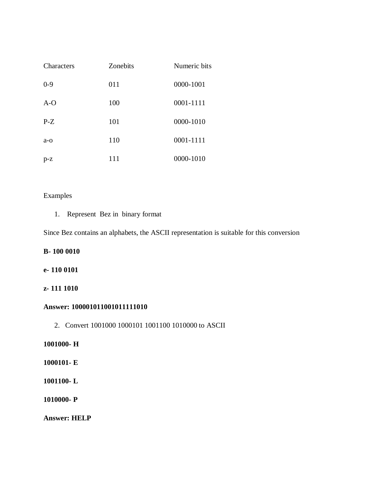| Characters | Zonebits | Numeric bits |
|------------|----------|--------------|
| $0 - 9$    | 011      | 0000-1001    |
| $A-O$      | 100      | 0001-1111    |
| $P-Z$      | 101      | 0000-1010    |
| $a - o$    | 110      | 0001-1111    |
| $p-z$      | 111      | 0000-1010    |

## Examples

1. Represent Bez in binary format

Since Bez contains an alphabets, the ASCII representation is suitable for this conversion

## **B- 100 0010**

## **e- 110 0101**

## **z- 111 1010**

## **Answer: 100001011001011111010**

2. Convert 1001000 1000101 1001100 1010000 to ASCII

## **1001000- H**

- **1000101- E**
- **1001100- L**
- **1010000- P**

**Answer: HELP**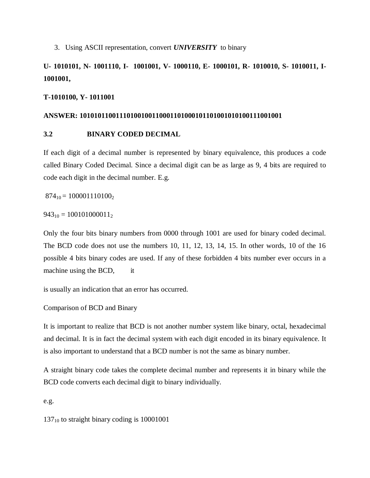3. Using ASCII representation, convert *UNIVERSITY* to binary

## **U- 1010101, N- 1001110, I- 1001001, V- 1000110, E- 1000101, R- 1010010, S- 1010011, I-1001001,**

#### **T-1010100, Y- 1011001**

#### **ANSWER: 10101011001110100100110001101000101101001010100111001001**

## **3.2 BINARY CODED DECIMAL**

If each digit of a decimal number is represented by binary equivalence, this produces a code called Binary Coded Decimal. Since a decimal digit can be as large as 9, 4 bits are required to code each digit in the decimal number. E.g.

 $874_{10} = 100001110100_2$ 

 $943_{10} = 100101000011_2$ 

Only the four bits binary numbers from 0000 through 1001 are used for binary coded decimal. The BCD code does not use the numbers 10, 11, 12, 13, 14, 15. In other words, 10 of the 16 possible 4 bits binary codes are used. If any of these forbidden 4 bits number ever occurs in a machine using the BCD, it

is usually an indication that an error has occurred.

## Comparison of BCD and Binary

It is important to realize that BCD is not another number system like binary, octal, hexadecimal and decimal. It is in fact the decimal system with each digit encoded in its binary equivalence. It is also important to understand that a BCD number is not the same as binary number.

A straight binary code takes the complete decimal number and represents it in binary while the BCD code converts each decimal digit to binary individually.

e.g.

137<sup>10</sup> to straight binary coding is 10001001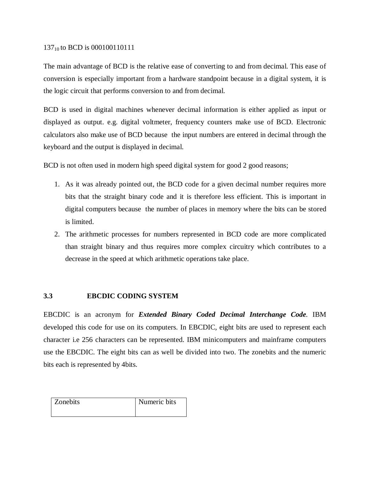#### 137<sub>10</sub> to BCD is 000100110111

The main advantage of BCD is the relative ease of converting to and from decimal. This ease of conversion is especially important from a hardware standpoint because in a digital system, it is the logic circuit that performs conversion to and from decimal.

BCD is used in digital machines whenever decimal information is either applied as input or displayed as output. e.g. digital voltmeter, frequency counters make use of BCD. Electronic calculators also make use of BCD because the input numbers are entered in decimal through the keyboard and the output is displayed in decimal.

BCD is not often used in modern high speed digital system for good 2 good reasons;

- 1. As it was already pointed out, the BCD code for a given decimal number requires more bits that the straight binary code and it is therefore less efficient. This is important in digital computers because the number of places in memory where the bits can be stored is limited.
- 2. The arithmetic processes for numbers represented in BCD code are more complicated than straight binary and thus requires more complex circuitry which contributes to a decrease in the speed at which arithmetic operations take place.

## **3.3 EBCDIC CODING SYSTEM**

EBCDIC is an acronym for *Extended Binary Coded Decimal Interchange Code.* IBM developed this code for use on its computers. In EBCDIC, eight bits are used to represent each character i.e 256 characters can be represented. IBM minicomputers and mainframe computers use the EBCDIC. The eight bits can as well be divided into two. The zonebits and the numeric bits each is represented by 4bits.

| <b>Zonebits</b> | Numeric bits |
|-----------------|--------------|
|                 |              |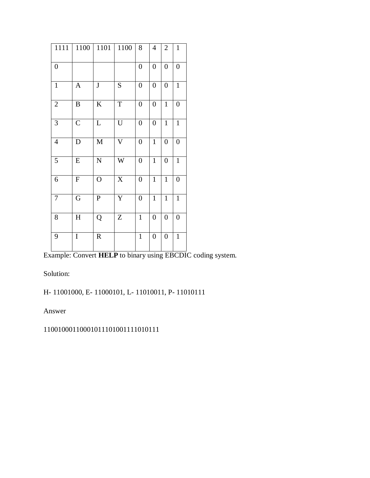| 1111             | 1100           | 1101           | 1100                      | 8                | $\overline{4}$   | $\mathbf{2}$     | $\mathbf{1}$     |
|------------------|----------------|----------------|---------------------------|------------------|------------------|------------------|------------------|
| $\boldsymbol{0}$ |                |                |                           | $\boldsymbol{0}$ | $\boldsymbol{0}$ | $\overline{0}$   | $\boldsymbol{0}$ |
| $\mathbf{1}$     | $\mathbf{A}$   | $\bf J$        | ${\bf S}$                 | $\boldsymbol{0}$ | $\boldsymbol{0}$ | $\boldsymbol{0}$ | $\mathbf{1}$     |
| $\overline{2}$   | $\, {\bf B}$   | $\rm K$        | $\mathbf T$               | $\boldsymbol{0}$ | $\boldsymbol{0}$ | $\mathbf{1}$     | $\boldsymbol{0}$ |
| 3                | $\overline{C}$ | L              | $\mathbf U$               | $\boldsymbol{0}$ | $\boldsymbol{0}$ | $\mathbf{1}$     | $\mathbf{1}$     |
| $\overline{4}$   | D              | $\mathbf M$    | $\overline{\text{V}}$     | $\boldsymbol{0}$ | $\mathbf{1}$     | $\overline{0}$   | $\boldsymbol{0}$ |
| 5                | ${\bf E}$      | $\overline{N}$ | W                         | $\boldsymbol{0}$ | $\mathbf{1}$     | $\boldsymbol{0}$ | $\mathbf{1}$     |
| 6                | ${\bf F}$      | $\overline{O}$ | $\boldsymbol{\mathrm{X}}$ | $\boldsymbol{0}$ | $\mathbf{1}$     | $\mathbf{1}$     | $\boldsymbol{0}$ |
| $\boldsymbol{7}$ | G              | ${\bf P}$      | $\mathbf Y$               | $\boldsymbol{0}$ | $\mathbf{1}$     | $\mathbf{1}$     | $\mathbf{1}$     |
| 8                | H              | Q              | Z                         | $\mathbf{1}$     | $\boldsymbol{0}$ | $\boldsymbol{0}$ | $\boldsymbol{0}$ |
| 9                | $\overline{I}$ | ${\bf R}$      |                           | $\mathbf{1}$     | $\boldsymbol{0}$ | $\boldsymbol{0}$ | $\overline{1}$   |

Example: Convert **HELP** to binary using EBCDIC coding system.

Solution:

H- 11001000, E- 11000101, L- 11010011, P- 11010111

Answer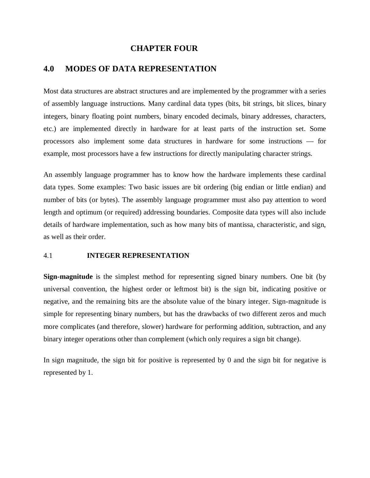#### **CHAPTER FOUR**

## **4.0 MODES OF DATA REPRESENTATION**

Most data structures are abstract structures and are implemented by the programmer with a series of assembly language instructions. Many cardinal data types (bits, bit strings, bit slices, binary integers, binary floating point numbers, binary encoded decimals, binary addresses, characters, etc.) are implemented directly in hardware for at least parts of the instruction set. Some processors also implement some data structures in hardware for some instructions — for example, most processors have a few instructions for directly manipulating character strings.

An assembly language programmer has to know how the hardware implements these cardinal data types. Some examples: Two basic issues are bit ordering (big endian or little endian) and number of bits (or bytes). The assembly language programmer must also pay attention to word length and optimum (or required) addressing boundaries. Composite data types will also include details of hardware implementation, such as how many bits of mantissa, characteristic, and sign, as well as their order.

## 4.1 **INTEGER REPRESENTATION**

**Sign-magnitude** is the simplest method for representing signed binary numbers. One bit (by universal convention, the highest order or leftmost bit) is the sign bit, indicating positive or negative, and the remaining bits are the absolute value of the binary integer. Sign-magnitude is simple for representing binary numbers, but has the drawbacks of two different zeros and much more complicates (and therefore, slower) hardware for performing addition, subtraction, and any binary integer operations other than complement (which only requires a sign bit change).

In sign magnitude, the sign bit for positive is represented by 0 and the sign bit for negative is represented by 1.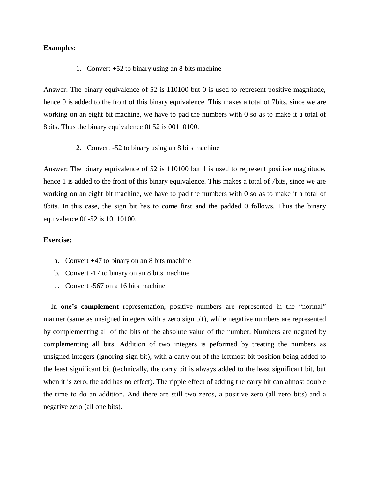#### **Examples:**

#### 1. Convert +52 to binary using an 8 bits machine

Answer: The binary equivalence of 52 is 110100 but 0 is used to represent positive magnitude, hence 0 is added to the front of this binary equivalence. This makes a total of 7 bits, since we are working on an eight bit machine, we have to pad the numbers with 0 so as to make it a total of 8bits. Thus the binary equivalence 0f 52 is 00110100.

2. Convert -52 to binary using an 8 bits machine

Answer: The binary equivalence of 52 is 110100 but 1 is used to represent positive magnitude, hence 1 is added to the front of this binary equivalence. This makes a total of 7bits, since we are working on an eight bit machine, we have to pad the numbers with 0 so as to make it a total of 8bits. In this case, the sign bit has to come first and the padded 0 follows. Thus the binary equivalence 0f -52 is 10110100.

#### **Exercise:**

- a. Convert +47 to binary on an 8 bits machine
- b. Convert -17 to binary on an 8 bits machine
- c. Convert -567 on a 16 bits machine

 In **one's complement** representation, positive numbers are represented in the "normal" manner (same as unsigned integers with a zero sign bit), while negative numbers are represented by complementing all of the bits of the absolute value of the number. Numbers are negated by complementing all bits. Addition of two integers is peformed by treating the numbers as unsigned integers (ignoring sign bit), with a carry out of the leftmost bit position being added to the least significant bit (technically, the carry bit is always added to the least significant bit, but when it is zero, the add has no effect). The ripple effect of adding the carry bit can almost double the time to do an addition. And there are still two zeros, a positive zero (all zero bits) and a negative zero (all one bits).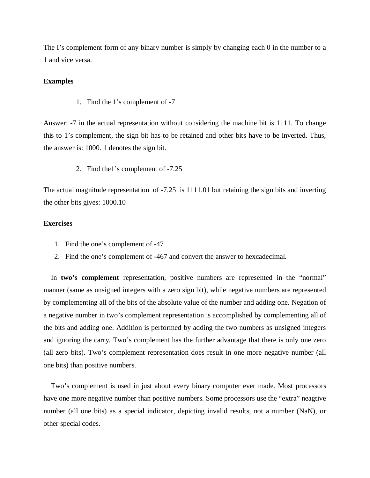The I's complement form of any binary number is simply by changing each 0 in the number to a 1 and vice versa.

#### **Examples**

1. Find the 1's complement of -7

Answer: -7 in the actual representation without considering the machine bit is 1111. To change this to 1's complement, the sign bit has to be retained and other bits have to be inverted. Thus, the answer is: 1000. 1 denotes the sign bit.

2. Find the1's complement of -7.25

The actual magnitude representation of -7.25 is 1111.01 but retaining the sign bits and inverting the other bits gives: 1000.10

## **Exercises**

- 1. Find the one's complement of -47
- 2. Find the one's complement of -467 and convert the answer to hexcadecimal.

 In **two's complement** representation, positive numbers are represented in the "normal" manner (same as unsigned integers with a zero sign bit), while negative numbers are represented by complementing all of the bits of the absolute value of the number and adding one. Negation of a negative number in two's complement representation is accomplished by complementing all of the bits and adding one. Addition is performed by adding the two numbers as unsigned integers and ignoring the carry. Two's complement has the further advantage that there is only one zero (all zero bits). Two's complement representation does result in one more negative number (all one bits) than positive numbers.

 Two's complement is used in just about every binary computer ever made. Most processors have one more negative number than positive numbers. Some processors use the "extra" neagtive number (all one bits) as a special indicator, depicting invalid results, not a number (NaN), or other special codes.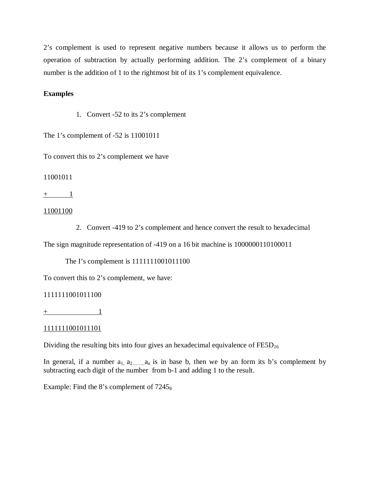2's complement is used to represent negative numbers because it allows us to perform the operation of subtraction by actually performing addition. The 2's complement of a binary number is the addition of 1 to the rightmost bit of its 1's complement equivalence.

#### **Examples**

1. Convert -52 to its 2's complement

The 1's complement of -52 is 11001011

To convert this to 2's complement we have

#### 11001011

 $+\qquad \qquad 1$ 

#### 11001100

2. Convert -419 to 2's complement and hence convert the result to hexadecimal

The sign magnitude representation of -419 on a 16 bit machine is 1000000110100011

The I's complement is 1111111001011100

To convert this to 2's complement, we have:

#### 1111111001011100

 $+$  1

## 1111111001011101

Dividing the resulting bits into four gives an hexadecimal equivalence of  $\text{FESD}_{16}$ 

In general, if a number  $a_1, a_2, \ldots, a_n$  is in base b, then we by an form its b's complement by subtracting each digit of the number from b-1 and adding 1 to the result.

Example: Find the 8's complement of  $7245<sub>8</sub>$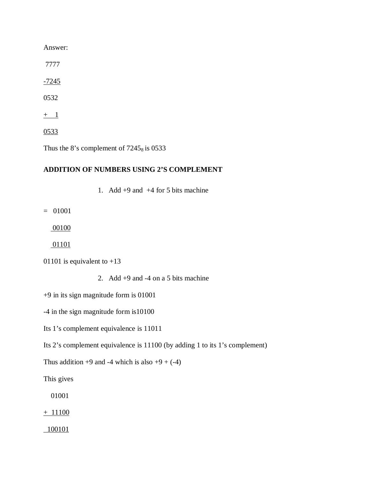Answer:

7777

 $-7245$ 

0532

 $+$  1

0533

Thus the 8's complement of  $7245_8$  is 0533

## **ADDITION OF NUMBERS USING 2'S COMPLEMENT**

1. Add  $+9$  and  $+4$  for 5 bits machine

= 01001

00100

01101

01101 is equivalent to  $+13$ 

2. Add  $+9$  and  $-4$  on a 5 bits machine

+9 in its sign magnitude form is 01001

-4 in the sign magnitude form is10100

Its 1's complement equivalence is 11011

Its 2's complement equivalence is 11100 (by adding 1 to its 1's complement)

Thus addition  $+9$  and  $-4$  which is also  $+9 + (-4)$ 

This gives

01001

 $+ 11100$ 

100101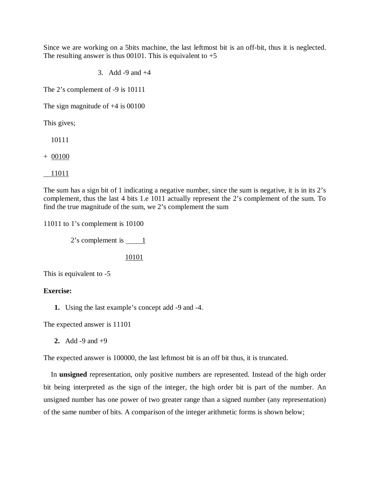Since we are working on a 5bits machine, the last leftmost bit is an off-bit, thus it is neglected. The resulting answer is thus 00101. This is equivalent to  $+5$ 

3. Add -9 and +4

The 2's complement of -9 is 10111

The sign magnitude of +4 is 00100

This gives;

10111

+ 00100

11011

The sum has a sign bit of 1 indicating a negative number, since the sum is negative, it is in its 2's complement, thus the last 4 bits 1.e 1011 actually represent the 2's complement of the sum. To find the true magnitude of the sum, we 2's complement the sum

11011 to 1's complement is 10100

 $2$ 's complement is  $\qquad 1$ 

10101

This is equivalent to -5

#### **Exercise:**

**1.** Using the last example's concept add -9 and -4.

The expected answer is 11101

**2.** Add -9 and +9

The expected answer is 100000, the last leftmost bit is an off bit thus, it is truncated.

 In **unsigned** representation, only positive numbers are represented. Instead of the high order bit being interpreted as the sign of the integer, the high order bit is part of the number. An unsigned number has one power of two greater range than a signed number (any representation) of the same number of bits. A comparison of the integer arithmetic forms is shown below;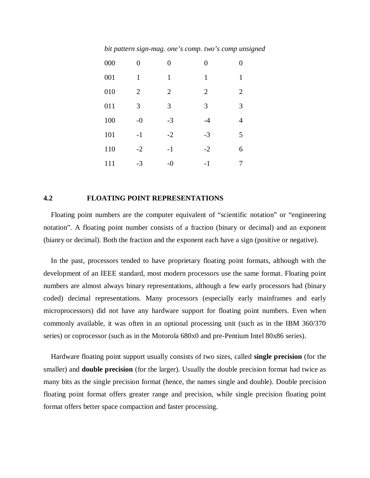*bit pattern sign-mag. one's comp. two's comp unsigned*

| 000 | 0              | $\theta$       | $\theta$       | $\theta$       |
|-----|----------------|----------------|----------------|----------------|
| 001 | 1              | $\mathbf{1}$   | $\mathbf{1}$   | 1              |
| 010 | $\overline{2}$ | $\overline{2}$ | $\overline{2}$ | $\overline{2}$ |
| 011 | 3              | 3              | 3              | 3              |
| 100 | $-0$           | $-3$           | $-4$           | 4              |
| 101 | $-1$           | $-2$           | $-3$           | 5              |
| 110 | $-2$           | $-1$           | $-2$           | 6              |
| 111 | $-3$           | $-0$           | $-1$           |                |

#### **4.2 FLOATING POINT REPRESENTATIONS**

 Floating point numbers are the computer equivalent of "scientific notation" or "engineering notation". A floating point number consists of a fraction (binary or decimal) and an exponent (bianry or decimal). Both the fraction and the exponent each have a sign (positive or negative).

 In the past, processors tended to have proprietary floating point formats, although with the development of an IEEE standard, most modern processors use the same format. Floating point numbers are almost always binary representations, although a few early processors had (binary coded) decimal representations. Many processors (especially early mainframes and early microprocessors) did not have any hardware support for floating point numbers. Even when commonly available, it was often in an optional processing unit (such as in the IBM 360/370 series) or coprocessor (such as in the Motorola 680x0 and pre-Pentium Intel 80x86 series).

 Hardware floating point support usually consists of two sizes, called **single precision** (for the smaller) and **double precision** (for the larger). Usually the double precision format had twice as many bits as the single precision format (hence, the names single and double). Double precision floating point format offers greater range and precision, while single precision floating point format offers better space compaction and faster processing.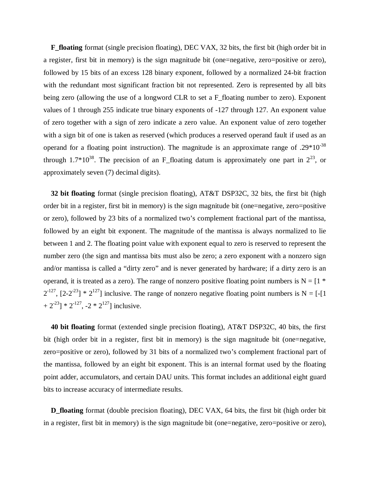**F\_floating** format (single precision floating), DEC VAX, 32 bits, the first bit (high order bit in a register, first bit in memory) is the sign magnitude bit (one=negative, zero=positive or zero), followed by 15 bits of an excess 128 binary exponent, followed by a normalized 24-bit fraction with the redundant most significant fraction bit not represented. Zero is represented by all bits being zero (allowing the use of a longword CLR to set a F floating number to zero). Exponent values of 1 through 255 indicate true binary exponents of -127 through 127. An exponent value of zero together with a sign of zero indicate a zero value. An exponent value of zero together with a sign bit of one is taken as reserved (which produces a reserved operand fault if used as an operand for a floating point instruction). The magnitude is an approximate range of  $.29*10^{-38}$ through 1.7\*10<sup>38</sup>. The precision of an F\_floating datum is approximately one part in  $2^{23}$ , or approximately seven (7) decimal digits).

 **32 bit floating** format (single precision floating), AT&T DSP32C, 32 bits, the first bit (high order bit in a register, first bit in memory) is the sign magnitude bit (one=negative, zero=positive or zero), followed by 23 bits of a normalized two's complement fractional part of the mantissa, followed by an eight bit exponent. The magnitude of the mantissa is always normalized to lie between 1 and 2. The floating point value with exponent equal to zero is reserved to represent the number zero (the sign and mantissa bits must also be zero; a zero exponent with a nonzero sign and/or mantissa is called a "dirty zero" and is never generated by hardware; if a dirty zero is an operand, it is treated as a zero). The range of nonzero positive floating point numbers is  $N = [1 *$  $2^{-127}$ ,  $[2-2^{-23}]$  \*  $2^{127}$ ] inclusive. The range of nonzero negative floating point numbers is N = [-[1]  $+ 2^{-23}$ ] \*  $2^{-127}$ ,  $-2$  \*  $2^{127}$ ] inclusive.

 **40 bit floating** format (extended single precision floating), AT&T DSP32C, 40 bits, the first bit (high order bit in a register, first bit in memory) is the sign magnitude bit (one=negative, zero=positive or zero), followed by 31 bits of a normalized two's complement fractional part of the mantissa, followed by an eight bit exponent. This is an internal format used by the floating point adder, accumulators, and certain DAU units. This format includes an additional eight guard bits to increase accuracy of intermediate results.

 **D\_floating** format (double precision floating), DEC VAX, 64 bits, the first bit (high order bit in a register, first bit in memory) is the sign magnitude bit (one=negative, zero=positive or zero),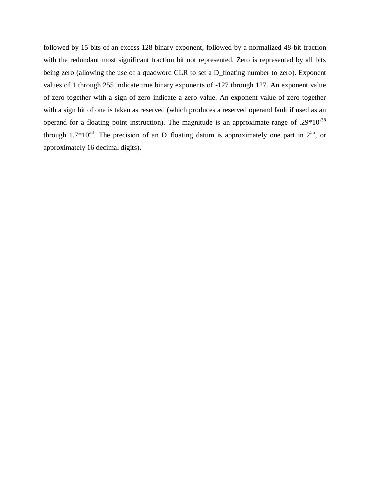followed by 15 bits of an excess 128 binary exponent, followed by a normalized 48-bit fraction with the redundant most significant fraction bit not represented. Zero is represented by all bits being zero (allowing the use of a quadword CLR to set a D\_floating number to zero). Exponent values of 1 through 255 indicate true binary exponents of -127 through 127. An exponent value of zero together with a sign of zero indicate a zero value. An exponent value of zero together with a sign bit of one is taken as reserved (which produces a reserved operand fault if used as an operand for a floating point instruction). The magnitude is an approximate range of .29\*10<sup>-38</sup> through 1.7 $*10^{38}$ . The precision of an D\_floating datum is approximately one part in  $2^{55}$ , or approximately 16 decimal digits).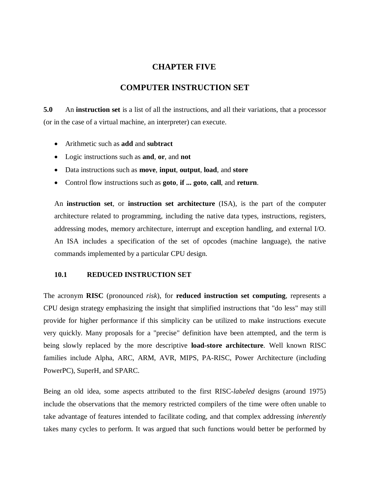## **CHAPTER FIVE**

## **COMPUTER INSTRUCTION SET**

**5.0** An **instruction set** is a list of all the instructions, and all their variations, that a processor (or in the case of a virtual machine, an interpreter) can execute.

- Arithmetic such as **add** and **subtract**
- Logic instructions such as **and**, **or**, and **not**
- Data instructions such as **move**, **input**, **output**, **load**, and **store**
- Control flow instructions such as **goto**, **if ... goto**, **call**, and **return**.

An **instruction set**, or **instruction set architecture** (ISA), is the part of the computer architecture related to programming, including the native data types, instructions, registers, addressing modes, memory architecture, interrupt and exception handling, and external I/O. An ISA includes a specification of the set of opcodes (machine language), the native commands implemented by a particular CPU design.

#### **10.1 REDUCED INSTRUCTION SET**

The acronym **RISC** (pronounced *risk*), for **reduced instruction set computing**, represents a CPU design strategy emphasizing the insight that simplified instructions that "do less" may still provide for higher performance if this simplicity can be utilized to make instructions execute very quickly. Many proposals for a "precise" definition have been attempted, and the term is being slowly replaced by the more descriptive **load-store architecture**. Well known RISC families include Alpha, ARC, ARM, AVR, MIPS, PA-RISC, Power Architecture (including PowerPC), SuperH, and SPARC.

Being an old idea, some aspects attributed to the first RISC-*labeled* designs (around 1975) include the observations that the memory restricted compilers of the time were often unable to take advantage of features intended to facilitate coding, and that complex addressing *inherently* takes many cycles to perform. It was argued that such functions would better be performed by